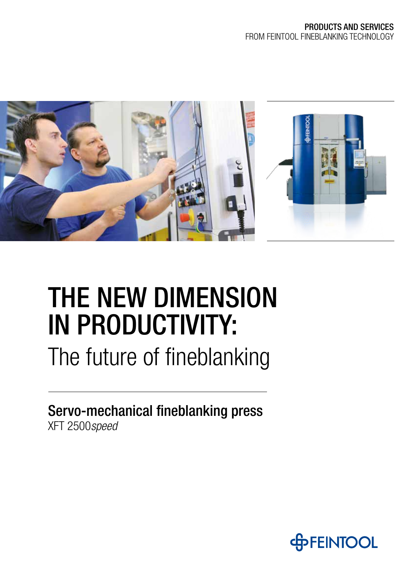

# THE NEW DIMENSION IN PRODUCTIVITY:

The future of fineblanking

Servo-mechanical fineblanking press XFT 2500*speed*

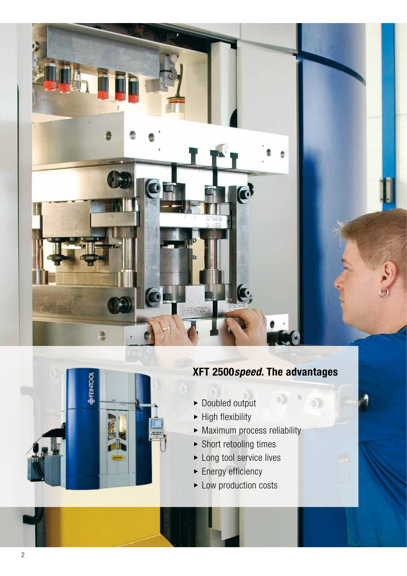



### **XFT 2500***speed***. The advantages**

 $\odot$ 

- $\blacktriangleright$  Doubled output
- $\blacktriangleright$  High flexibility
- $\blacktriangleright$  Maximum process reliability
- $\blacktriangleright$  Short retooling times
- $\blacktriangleright$  Long tool service lives
- $\blacktriangleright$  Energy efficiency
- $\blacktriangleright$  Low production costs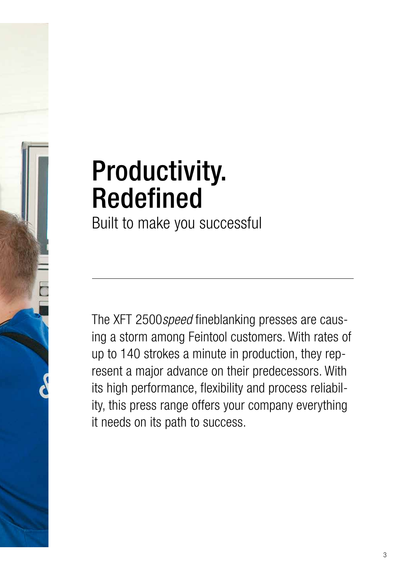# Productivity. Redefined

Built to make you successful

The XFT 2500*speed* fineblanking presses are causing a storm among Feintool customers. With rates of up to 140 strokes a minute in production, they represent a major advance on their predecessors. With its high performance, flexibility and process reliability, this press range offers your company everything it needs on its path to success.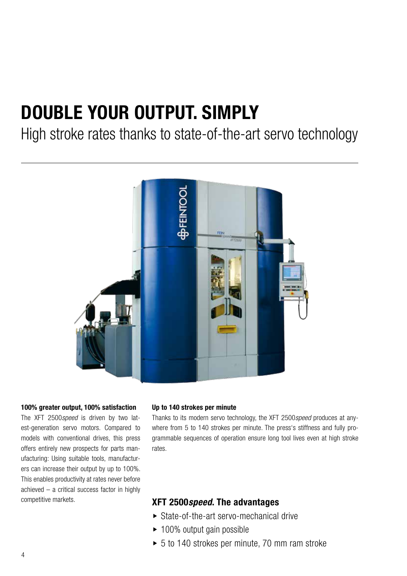# **DOUBLE YOUR OUTPUT. SIMPLY**

High stroke rates thanks to state-of-the-art servo technology



### **100% greater output, 100% satisfaction**

The XFT 2500*speed* is driven by two latest-generation servo motors. Compared to models with conventional drives, this press offers entirely new prospects for parts manufacturing: Using suitable tools, manufacturers can increase their output by up to 100%. This enables productivity at rates never before achieved – a critical success factor in highly competitive markets.

### **Up to 140 strokes per minute**

Thanks to its modern servo technology, the XFT 2500*speed* produces at anywhere from 5 to 140 strokes per minute. The press's stiffness and fully programmable sequences of operation ensure long tool lives even at high stroke rates.

- $\triangleright$  State-of-the-art servo-mechanical drive
- $\blacktriangleright$  100% output gain possible
- $\triangleright$  5 to 140 strokes per minute, 70 mm ram stroke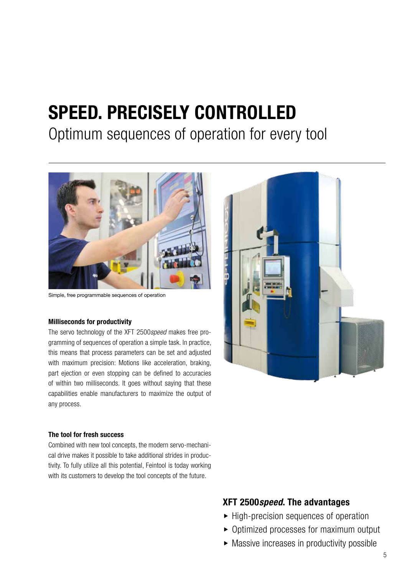# **SPEED. PRECISELY CONTROLLED**

### Optimum sequences of operation for every tool



Simple, free programmable sequences of operation

### **Milliseconds for productivity**

The servo technology of the XFT 2500*speed* makes free programming of sequences of operation a simple task. In practice, this means that process parameters can be set and adjusted with maximum precision: Motions like acceleration, braking, part ejection or even stopping can be defined to accuracies of within two milliseconds. It goes without saying that these capabilities enable manufacturers to maximize the output of any process.



### **The tool for fresh success**

Combined with new tool concepts, the modern servo-mechanical drive makes it possible to take additional strides in productivity. To fully utilize all this potential, Feintool is today working with its customers to develop the tool concepts of the future.

- $\blacktriangleright$  High-precision sequences of operation
- $\triangleright$  Optimized processes for maximum output
- $\blacktriangleright$  Massive increases in productivity possible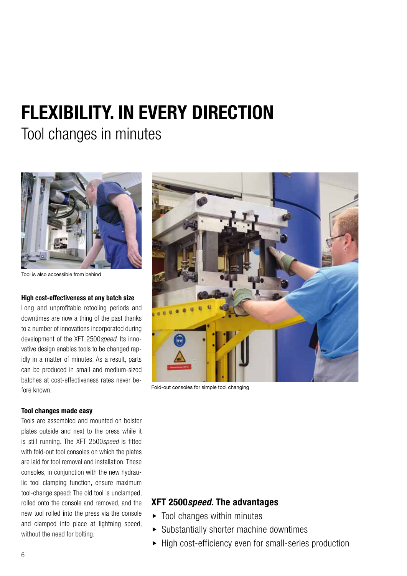# **FLEXIBILITY. IN EVERY DIRECTION**

Tool changes in minutes



Tool is also accessible from behind

### **High cost-effectiveness at any batch size**

Long and unprofitable retooling periods and downtimes are now a thing of the past thanks to a number of innovations incorporated during development of the XFT 2500*speed*. Its innovative design enables tools to be changed rapidly in a matter of minutes. As a result, parts can be produced in small and medium-sized batches at cost-effectiveness rates never before known.

### **Tool changes made easy**

Tools are assembled and mounted on bolster plates outside and next to the press while it is still running. The XFT 2500*speed* is fitted with fold-out tool consoles on which the plates are laid for tool removal and installation. These consoles, in conjunction with the new hydraulic tool clamping function, ensure maximum tool-change speed: The old tool is unclamped, rolled onto the console and removed, and the new tool rolled into the press via the console and clamped into place at lightning speed, without the need for bolting.



Fold-out consoles for simple tool changing

- $\blacktriangleright$  Tool changes within minutes
- $\triangleright$  Substantially shorter machine downtimes
- $\blacktriangleright$  High cost-efficiency even for small-series production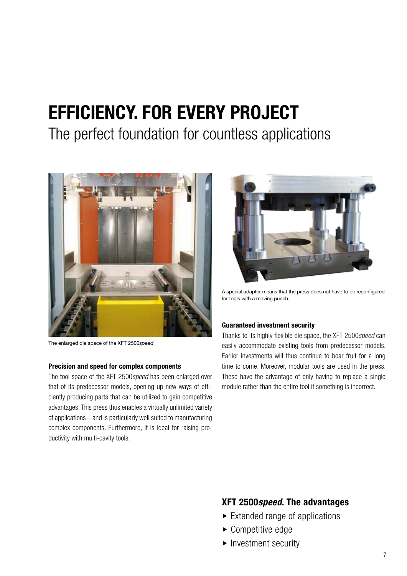# **EFFICIENCY. FOR EVERY PROJECT**

The perfect foundation for countless applications



The enlarged die space of the XFT 2500*speed*

### **Precision and speed for complex components**

The tool space of the XFT 2500*speed* has been enlarged over that of its predecessor models, opening up new ways of efficiently producing parts that can be utilized to gain competitive advantages. This press thus enables a virtually unlimited variety of applications – and is particularly well suited to manufacturing complex components. Furthermore, it is ideal for raising productivity with multi-cavity tools.



A special adapter means that the press does not have to be reconfigured for tools with a moving punch.

### **Guaranteed investment security**

Thanks to its highly flexible die space, the XFT 2500*speed* can easily accommodate existing tools from predecessor models. Earlier investments will thus continue to bear fruit for a long time to come. Moreover, modular tools are used in the press. These have the advantage of only having to replace a single module rather than the entire tool if something is incorrect.

- $\blacktriangleright$  Extended range of applications
- $\blacktriangleright$  Competitive edge
- $\blacktriangleright$  Investment security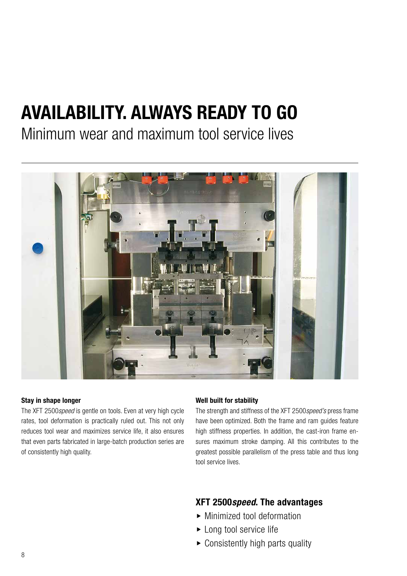# **AVAILABILITY. ALWAYS READY TO GO**

Minimum wear and maximum tool service lives



### **Stay in shape longer**

The XFT 2500*speed* is gentle on tools. Even at very high cycle rates, tool deformation is practically ruled out. This not only reduces tool wear and maximizes service life, it also ensures that even parts fabricated in large-batch production series are of consistently high quality.

### **Well built for stability**

The strength and stiffness of the XFT 2500*speed's* press frame have been optimized. Both the frame and ram guides feature high stiffness properties. In addition, the cast-iron frame ensures maximum stroke damping. All this contributes to the greatest possible parallelism of the press table and thus long tool service lives.

- $\blacktriangleright$  Minimized tool deformation
- $\blacktriangleright$  Long tool service life
- $\triangleright$  Consistently high parts quality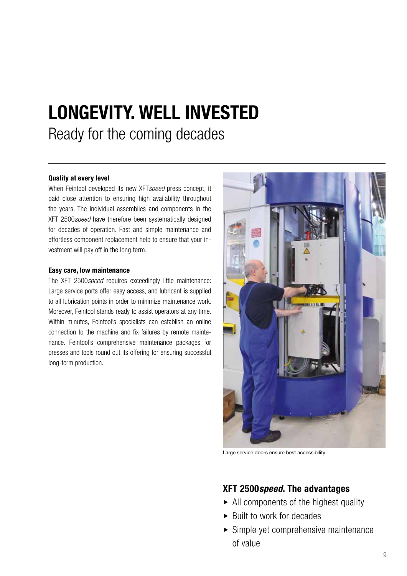# **LONGEVITY. WELL INVESTED** Ready for the coming decades

### **Quality at every level**

When Feintool developed its new XFT*speed* press concept, it paid close attention to ensuring high availability throughout the years. The individual assemblies and components in the XFT 2500*speed* have therefore been systematically designed for decades of operation. Fast and simple maintenance and effortless component replacement help to ensure that your investment will pay off in the long term.

### **Easy care, low maintenance**

The XFT 2500*speed* requires exceedingly little maintenance: Large service ports offer easy access, and lubricant is supplied to all lubrication points in order to minimize maintenance work. Moreover, Feintool stands ready to assist operators at any time. Within minutes, Feintool's specialists can establish an online connection to the machine and fix failures by remote maintenance. Feintool's comprehensive maintenance packages for presses and tools round out its offering for ensuring successful long-term production.



Large service doors ensure best accessibility

- $\triangleright$  All components of the highest quality
- $\blacktriangleright$  Built to work for decades
- $\blacktriangleright$  Simple yet comprehensive maintenance of value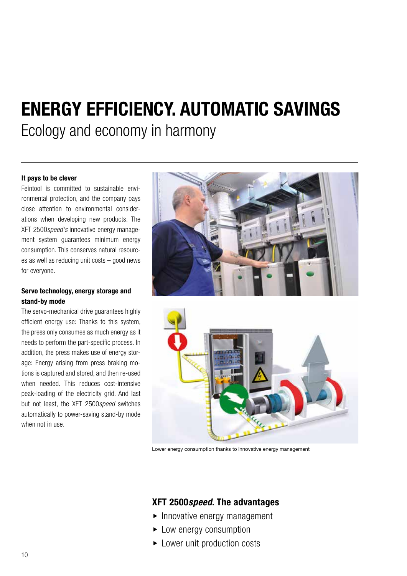### **ENERGY EFFICIENCY. AUTOMATIC SAVINGS**  Ecology and economy in harmony

### **It pays to be clever**

Feintool is committed to sustainable environmental protection, and the company pays close attention to environmental considerations when developing new products. The XFT 2500*speed's* innovative energy management system guarantees minimum energy consumption. This conserves natural resources as well as reducing unit costs – good news for everyone.

### **Servo technology, energy storage and stand-by mode**

The servo-mechanical drive guarantees highly efficient energy use: Thanks to this system, the press only consumes as much energy as it needs to perform the part-specific process. In addition, the press makes use of energy storage: Energy arising from press braking motions is captured and stored, and then re-used when needed. This reduces cost-intensive peak-loading of the electricity grid. And last but not least, the XFT 2500*speed* switches automatically to power-saving stand-by mode when not in use.





Lower energy consumption thanks to innovative energy management

- $\blacktriangleright$  Innovative energy management
- $\blacktriangleright$  Low energy consumption
- $\blacktriangleright$  Lower unit production costs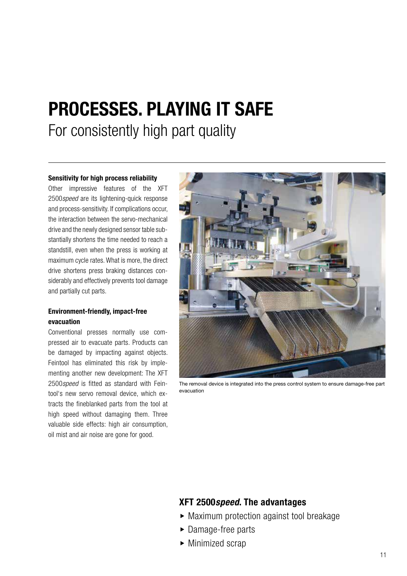### **PROCESSES. PLAYING IT SAFE**

For consistently high part quality

### **Sensitivity for high process reliability**

Other impressive features of the XFT 2500*speed* are its lightening-quick response and process-sensitivity. If complications occur, the interaction between the servo-mechanical drive and the newly designed sensor table substantially shortens the time needed to reach a standstill, even when the press is working at maximum cycle rates. What is more, the direct drive shortens press braking distances considerably and effectively prevents tool damage and partially cut parts.

### **Environment-friendly, impact-free evacuation**

Conventional presses normally use compressed air to evacuate parts. Products can be damaged by impacting against objects. Feintool has eliminated this risk by implementing another new development: The XFT 2500*speed* is fitted as standard with Feintool's new servo removal device, which extracts the fineblanked parts from the tool at high speed without damaging them. Three valuable side effects: high air consumption, oil mist and air noise are gone for good.



The removal device is integrated into the press control system to ensure damage-free part evacuation

- $\blacktriangleright$  Maximum protection against tool breakage
- $\blacktriangleright$  Damage-free parts
- $\blacktriangleright$  Minimized scrap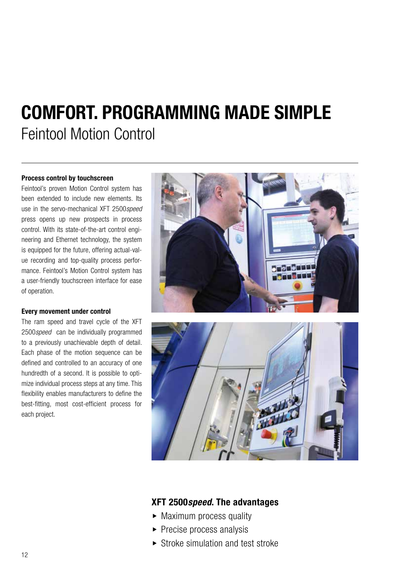# **COMFORT. PROGRAMMING MADE SIMPLE** Feintool Motion Control

### **Process control by touchscreen**

Feintool's proven Motion Control system has been extended to include new elements. Its use in the servo-mechanical XFT 2500*speed*  press opens up new prospects in process control. With its state-of-the-art control engineering and Ethernet technology, the system is equipped for the future, offering actual-value recording and top-quality process performance. Feintool's Motion Control system has a user-friendly touchscreen interface for ease of operation.

### **Every movement under control**

The ram speed and travel cycle of the XFT 2500*speed* can be individually programmed to a previously unachievable depth of detail. Each phase of the motion sequence can be defined and controlled to an accuracy of one hundredth of a second. It is possible to optimize individual process steps at any time. This flexibility enables manufacturers to define the best-fitting, most cost-efficient process for each project.





- $\triangleright$  Maximum process quality
- $\blacktriangleright$  Precise process analysis
- $\triangleright$  Stroke simulation and test stroke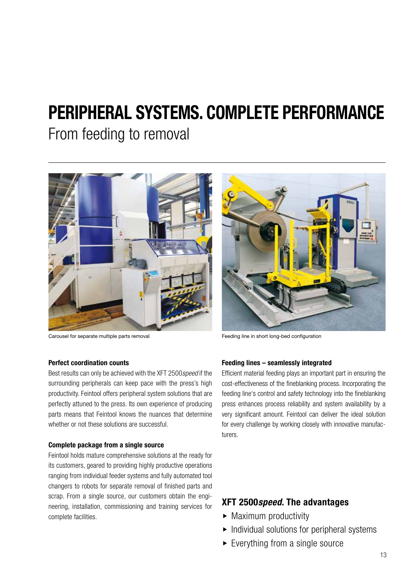## **PERIPHERAL SYSTEMS. COMPLETE PERFORMANCE**

From feeding to removal



Carousel for separate multiple parts removal Feeding line in short long-bed configuration



### **Perfect coordination counts**

Best results can only be achieved with the XFT 2500*speed* if the surrounding peripherals can keep pace with the press's high productivity. Feintool offers peripheral system solutions that are perfectly attuned to the press. Its own experience of producing parts means that Feintool knows the nuances that determine whether or not these solutions are successful.

### **Complete package from a single source**

Feintool holds mature comprehensive solutions at the ready for its customers, geared to providing highly productive operations ranging from individual feeder systems and fully automated tool changers to robots for separate removal of finished parts and scrap. From a single source, our customers obtain the engineering, installation, commissioning and training services for complete facilities.

### **Feeding lines – seamlessly integrated**

Efficient material feeding plays an important part in ensuring the cost-effectiveness of the fineblanking process. Incorporating the feeding line's control and safety technology into the fineblanking press enhances process reliability and system availability by a very significant amount. Feintool can deliver the ideal solution for every challenge by working closely with innovative manufacturers.

- $\triangleright$  Maximum productivity
- $\blacktriangleright$  Individual solutions for peripheral systems
- $\blacktriangleright$  Everything from a single source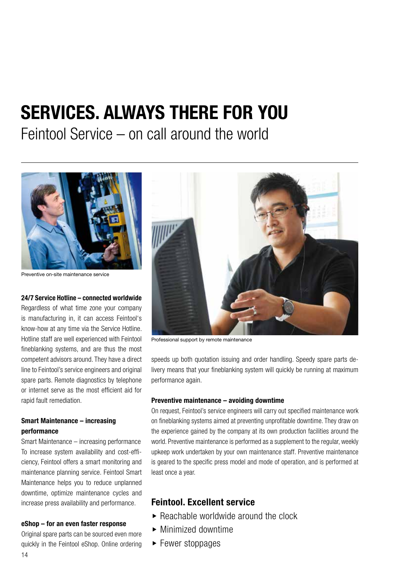# **SERVICES. ALWAYS THERE FOR YOU**

Feintool Service – on call around the world



Preventive on-site maintenance service

### **24/7 Service Hotline – connected worldwide**

Regardless of what time zone your company is manufacturing in, it can access Feintool's know-how at any time via the Service Hotline. Hotline staff are well experienced with Feintool fineblanking systems, and are thus the most competent advisors around. They have a direct line to Feintool's service engineers and original spare parts. Remote diagnostics by telephone or internet serve as the most efficient aid for rapid fault remediation.

### **Smart Maintenance – increasing performance**

Smart Maintenance – increasing performance To increase system availability and cost-efficiency, Feintool offers a smart monitoring and maintenance planning service. Feintool Smart Maintenance helps you to reduce unplanned downtime, optimize maintenance cycles and increase press availability and performance.

#### **eShop – for an even faster response**

Original spare parts can be sourced even more quickly in the Feintool eShop. Online ordering



Professional support by remote maintenance

speeds up both quotation issuing and order handling. Speedy spare parts delivery means that your fineblanking system will quickly be running at maximum performance again.

### **Preventive maintenance – avoiding downtime**

On request, Feintool's service engineers will carry out specified maintenance work on fineblanking systems aimed at preventing unprofitable downtime. They draw on the experience gained by the company at its own production facilities around the world. Preventive maintenance is performed as a supplement to the regular, weekly upkeep work undertaken by your own maintenance staff. Preventive maintenance is geared to the specific press model and mode of operation, and is performed at least once a year.

### **Feintool. Excellent service**

- $\triangleright$  Reachable worldwide around the clock
- $\blacktriangleright$  Minimized downtime
- $\blacktriangleright$  Fewer stoppages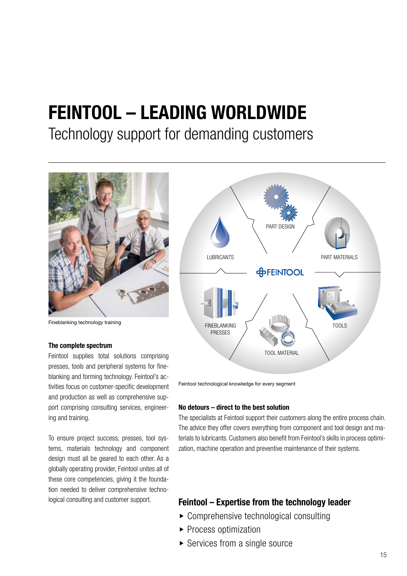# **FEINTOOL – LEADING WORLDWIDE**

### Technology support for demanding customers



Fineblanking technology training

#### **The complete spectrum**

Feintool supplies total solutions comprising presses, tools and peripheral systems for fineblanking and forming technology. Feintool's activities focus on customer-specific development and production as well as comprehensive support comprising consulting services, engineering and training.

To ensure project success, presses, tool systems, materials technology and component design must all be geared to each other. As a globally operating provider, Feintool unites all of these core competencies, giving it the foundation needed to deliver comprehensive techno-



Feintool technological knowledge for every segment

### **No detours – direct to the best solution**

The specialists at Feintool support their customers along the entire process chain. The advice they offer covers everything from component and tool design and materials to lubricants. Customers also benefit from Feintool's skills in process optimization, machine operation and preventive maintenance of their systems.

### logical consulting and customer support. **Feintool – Expertise from the technology leader**

- $\triangleright$  Comprehensive technological consulting
- $\blacktriangleright$  Process optimization
- $\triangleright$  Services from a single source